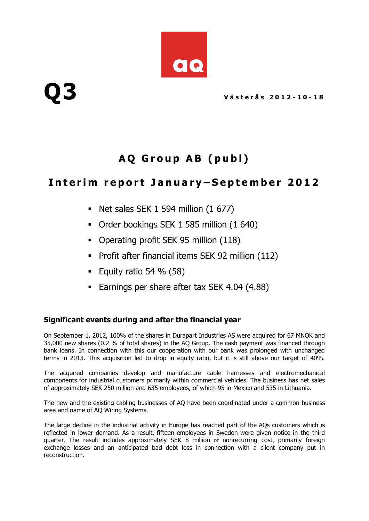

# **A Q G r o u p A B ( p u b l )**

## Interim report January-September 2012

- Net sales SEK  $1$  594 million  $(1\ 677)$
- Order bookings SEK 1 585 million (1 640)
- Operating profit SEK 95 million (118)
- **Profit after financial items SEK 92 million (112)**
- Equity ratio 54  $%$  (58)
- **Earnings per share after tax SEK 4.04 (4.88)**

### **Significant events during and after the financial year**

On September 1, 2012, 100% of the shares in Durapart Industries AS were acquired for 67 MNOK and 35,000 new shares (0.2 % of total shares) in the AQ Group. The cash payment was financed through bank loans. In connection with this our cooperation with our bank was prolonged with unchanged terms in 2013. This acquisition led to drop in equity ratio, but it is still above our target of 40%.

The acquired companies develop and manufacture cable harnesses and electromechanical components for industrial customers primarily within commercial vehicles. The business has net sales of approximately SEK 250 million and 635 employees, of which 95 in Mexico and 535 in Lithuania.

The new and the existing cabling businesses of AQ have been coordinated under a common business area and name of AQ Wiring Systems.

The large decline in the industrial activity in Europe has reached part of the AQs customers which is reflected in lower demand. As a result, fifteen employees in Sweden were given notice in the third quarter. The result includes approximately SEK 8 million of nonrecurring cost, primarily foreign exchange losses and an anticipated bad debt loss in connection with a client company put in reconstruction.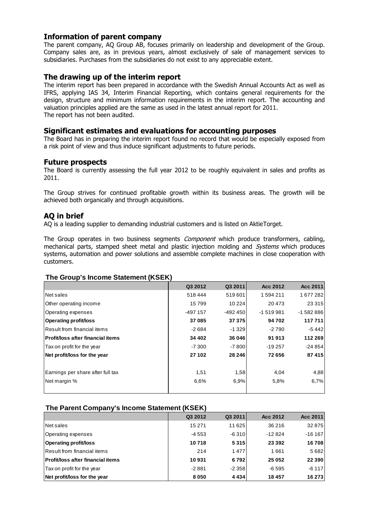#### **Information of parent company**

The parent company, AQ Group AB, focuses primarily on leadership and development of the Group. Company sales are, as in previous years, almost exclusively of sale of management services to subsidiaries. Purchases from the subsidiaries do not exist to any appreciable extent.

#### **The drawing up of the interim report**

The interim report has been prepared in accordance with the Swedish Annual Accounts Act as well as IFRS, applying IAS 34, Interim Financial Reporting, which contains general requirements for the design, structure and minimum information requirements in the interim report. The accounting and valuation principles applied are the same as used in the latest annual report for 2011. The report has not been audited.

#### **Significant estimates and evaluations for accounting purposes**

The Board has in preparing the interim report found no record that would be especially exposed from a risk point of view and thus induce significant adjustments to future periods.

#### **Future prospects**

The Board is currently assessing the full year 2012 to be roughly equivalent in sales and profits as 2011.

The Group strives for continued profitable growth within its business areas. The growth will be achieved both organically and through acquisitions.

#### **AQ in brief**

AQ is a leading supplier to demanding industrial customers and is listed on AktieTorget.

The Group operates in two business segments *Component* which produce transformers, cabling, mechanical parts, stamped sheet metal and plastic injection molding and *Systems* which produces systems, automation and power solutions and assemble complete machines in close cooperation with customers.

#### **The Group's Income Statement (KSEK)**

| .                                  |            |           |            |            |  |  |  |  |  |  |
|------------------------------------|------------|-----------|------------|------------|--|--|--|--|--|--|
|                                    | Q3 2012    | Q3 2011   | Acc 2012   | Acc 2011   |  |  |  |  |  |  |
| Net sales                          | 518444     | 519601    | 1594211    | 1677282    |  |  |  |  |  |  |
| Other operating income             | 15799      | 10 2 24   | 20 473     | 23 3 15    |  |  |  |  |  |  |
| Operating expenses                 | $-497$ 157 | $-492450$ | $-1519981$ | $-1582886$ |  |  |  |  |  |  |
| <b>Operating profit/loss</b>       | 37085      | 37 375    | 94 702     | 117 711    |  |  |  |  |  |  |
| Result from financial items        | $-2684$    | $-1.329$  | $-2790$    | -5 442     |  |  |  |  |  |  |
| lProfit/loss after financial items | 34 402     | 36 046    | 91913      | 112 269    |  |  |  |  |  |  |
| Tax on profit for the year         | $-7300$    | $-7800$   | $-19257$   | $-24854$   |  |  |  |  |  |  |
| Net profit/loss for the year       | 27 102     | 28 24 6   | 72656      | 87415      |  |  |  |  |  |  |
| Earnings per share after full tax  | 1,51       | 1,58      | 4,04       | 4,88       |  |  |  |  |  |  |
| Net margin %                       | 6.6%       | 6.9%      | 5,8%       | 6,7%       |  |  |  |  |  |  |
|                                    |            |           |            |            |  |  |  |  |  |  |

#### **The Parent Company's Income Statement (KSEK)**

|                                          | Q3 2012  | Q3 2011 | Acc 2012 | Acc 2011 |
|------------------------------------------|----------|---------|----------|----------|
| Net sales                                | 15 2 7 1 | 11 625  | 36 216   | 32 875   |
| Operating expenses                       | -4 553   | $-6310$ | $-12824$ | $-16167$ |
| <b>Operating profit/loss</b>             | 10718    | 5315    | 23 3 9 2 | 16708    |
| Result from financial items              | 214      | 1477    | 1661     | 5682     |
| <b>Profit/loss after financial items</b> | 10931    | 6792    | 25 052   | 22 3 9 0 |
| Tax on profit for the year               | $-2881$  | $-2358$ | $-6595$  | $-6117$  |
| Net profit/loss for the year             | 8050     | 4 4 3 4 | 18 457   | 16 273   |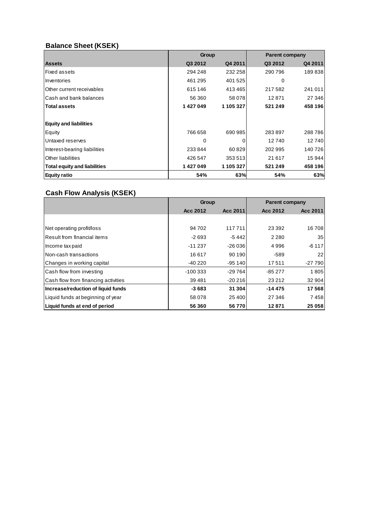## **Balance Sheet (KSEK)**

|                                     | Group    |           | <b>Parent company</b> |         |  |  |
|-------------------------------------|----------|-----------|-----------------------|---------|--|--|
| <b>Assets</b>                       | Q3 2012  | Q4 2011   | Q3 2012               | Q4 2011 |  |  |
| <b>Fixed assets</b>                 | 294 248  | 232 258   | 290 796               | 189838  |  |  |
| Inventories                         | 461 295  | 401 525   | 0                     |         |  |  |
| Other current receivables           | 615 146  | 413465    | 217 582               | 241 011 |  |  |
| lCash and bank balances             | 56 360   | 58 078    | 12871                 | 27 346  |  |  |
| <b>Total assets</b>                 | 1427049  | 1 105 327 | 521 249               | 458 196 |  |  |
|                                     |          |           |                       |         |  |  |
| <b>Equity and liabilities</b>       |          |           |                       |         |  |  |
| Equity                              | 766 658  | 690 985   | 283897                | 288786  |  |  |
| Untaxed reserves                    | $\Omega$ | 0         | 12740                 | 12740   |  |  |
| Interest-bearing liabilities        | 233844   | 60829     | 202 995               | 140726  |  |  |
| Other liabilities                   | 426 547  | 353 513   | 21 617                | 15944   |  |  |
| <b>Total equity and liabilities</b> | 1427049  | 1 105 327 | 521 249               | 458 196 |  |  |
| <b>Equity ratio</b>                 | 54%      | 63%       | 54%                   | 63%     |  |  |

## **Cash Flow Analysis (KSEK)**

|                                     | <b>Group</b> |          | <b>Parent company</b> |          |  |
|-------------------------------------|--------------|----------|-----------------------|----------|--|
|                                     | Acc 2012     | Acc 2011 | Acc 2012              | Acc 2011 |  |
|                                     |              |          |                       |          |  |
| Net operating profit/loss           | 94 702       | 117711   | 23 3 9 2              | 16708    |  |
| Result from financial items         | $-2693$      | $-5442$  | 2 2 8 0               | 35       |  |
| Income tax paid                     | $-11237$     | $-26036$ | 4996                  | $-6117$  |  |
| INon-cash transactions              | 16617        | 90 190   | $-589$                | 22       |  |
| Changes in working capital          | -40 220      | $-95140$ | 17511                 | $-27790$ |  |
| Cash flow from investing            | $-100333$    | $-29764$ | $-85277$              | 1805     |  |
| Cash flow from financing activities | 39481        | $-20216$ | 23 21 2               | 32 904   |  |
| Increase/reduction of liquid funds  | $-3683$      | 31 304   | $-14475$              | 17568    |  |
| Liquid funds at beginning of year   | 58 078       | 25 400   | 27 346                | 7458     |  |
| Liquid funds at end of period       | 56 360       | 56770    | 12871                 | 25 058   |  |